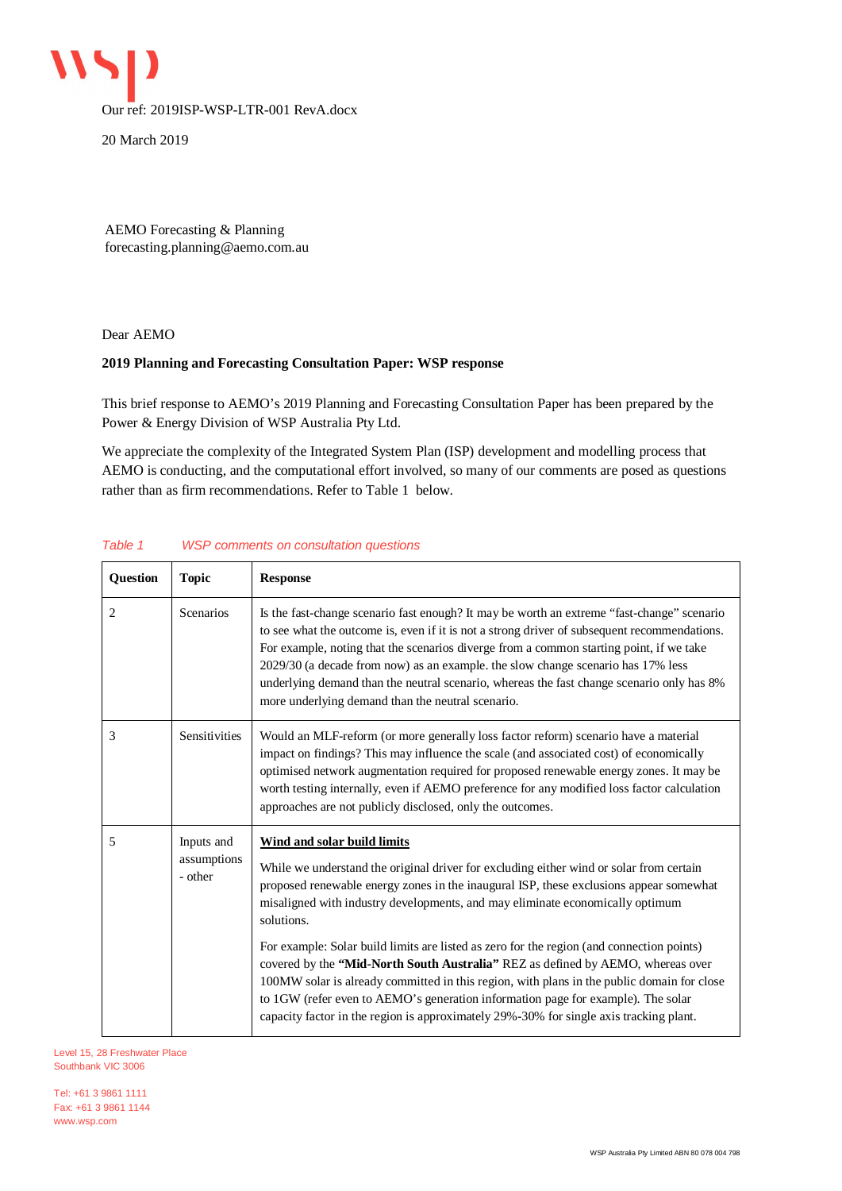

20 March 2019

AEMO Forecasting & Planning forecasting.planning@aemo.com.au

Dear AEMO

## **2019 Planning and Forecasting Consultation Paper: WSP response**

This brief response to AEMO's 2019 Planning and Forecasting Consultation Paper has been prepared by the Power & Energy Division of WSP Australia Pty Ltd.

We appreciate the complexity of the Integrated System Plan (ISP) development and modelling process that AEMO is conducting, and the computational effort involved, so many of our comments are posed as questions rather than as firm recommendations. Refer to Table 1 below.

| Question | <b>Topic</b>                         | <b>Response</b>                                                                                                                                                                                                                                                                                                                                                                                                                                                                                                                                                                                                                                                                                                                                                                    |
|----------|--------------------------------------|------------------------------------------------------------------------------------------------------------------------------------------------------------------------------------------------------------------------------------------------------------------------------------------------------------------------------------------------------------------------------------------------------------------------------------------------------------------------------------------------------------------------------------------------------------------------------------------------------------------------------------------------------------------------------------------------------------------------------------------------------------------------------------|
| 2        | Scenarios                            | Is the fast-change scenario fast enough? It may be worth an extreme "fast-change" scenario<br>to see what the outcome is, even if it is not a strong driver of subsequent recommendations.<br>For example, noting that the scenarios diverge from a common starting point, if we take<br>2029/30 (a decade from now) as an example. the slow change scenario has 17% less<br>underlying demand than the neutral scenario, whereas the fast change scenario only has 8%<br>more underlying demand than the neutral scenario.                                                                                                                                                                                                                                                        |
| 3        | Sensitivities                        | Would an MLF-reform (or more generally loss factor reform) scenario have a material<br>impact on findings? This may influence the scale (and associated cost) of economically<br>optimised network augmentation required for proposed renewable energy zones. It may be<br>worth testing internally, even if AEMO preference for any modified loss factor calculation<br>approaches are not publicly disclosed, only the outcomes.                                                                                                                                                                                                                                                                                                                                                 |
| 5        | Inputs and<br>assumptions<br>- other | <b>Wind and solar build limits</b><br>While we understand the original driver for excluding either wind or solar from certain<br>proposed renewable energy zones in the inaugural ISP, these exclusions appear somewhat<br>misaligned with industry developments, and may eliminate economically optimum<br>solutions.<br>For example: Solar build limits are listed as zero for the region (and connection points)<br>covered by the "Mid-North South Australia" REZ as defined by AEMO, whereas over<br>100MW solar is already committed in this region, with plans in the public domain for close<br>to 1GW (refer even to AEMO's generation information page for example). The solar<br>capacity factor in the region is approximately 29%-30% for single axis tracking plant. |

## *Table 1 WSP comments on consultation questions*

Level 15, 28 Freshwater Place Southbank VIC 3006

Tel: +61 3 9861 1111 Fax: +61 3 9861 1144 www.wsp.com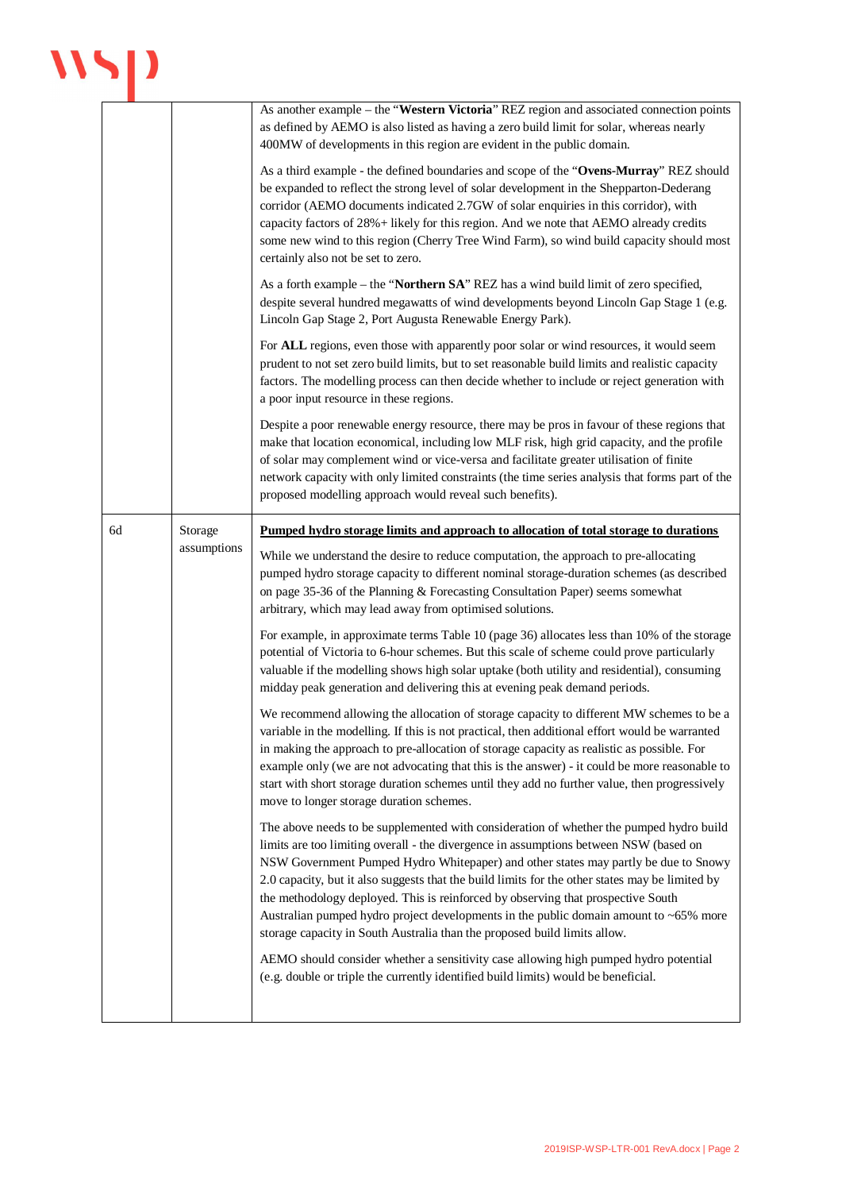## $\mathbf{W}$

|    |             | As another example – the "Western Victoria" REZ region and associated connection points<br>as defined by AEMO is also listed as having a zero build limit for solar, whereas nearly<br>400MW of developments in this region are evident in the public domain.<br>As a third example - the defined boundaries and scope of the "Ovens-Murray" REZ should<br>be expanded to reflect the strong level of solar development in the Shepparton-Dederang<br>corridor (AEMO documents indicated 2.7GW of solar enquiries in this corridor), with<br>capacity factors of 28% + likely for this region. And we note that AEMO already credits<br>some new wind to this region (Cherry Tree Wind Farm), so wind build capacity should most<br>certainly also not be set to zero. |
|----|-------------|------------------------------------------------------------------------------------------------------------------------------------------------------------------------------------------------------------------------------------------------------------------------------------------------------------------------------------------------------------------------------------------------------------------------------------------------------------------------------------------------------------------------------------------------------------------------------------------------------------------------------------------------------------------------------------------------------------------------------------------------------------------------|
|    |             | As a forth example – the "Northern SA" REZ has a wind build limit of zero specified,<br>despite several hundred megawatts of wind developments beyond Lincoln Gap Stage 1 (e.g.<br>Lincoln Gap Stage 2, Port Augusta Renewable Energy Park).                                                                                                                                                                                                                                                                                                                                                                                                                                                                                                                           |
|    |             | For ALL regions, even those with apparently poor solar or wind resources, it would seem<br>prudent to not set zero build limits, but to set reasonable build limits and realistic capacity<br>factors. The modelling process can then decide whether to include or reject generation with<br>a poor input resource in these regions.                                                                                                                                                                                                                                                                                                                                                                                                                                   |
|    |             | Despite a poor renewable energy resource, there may be pros in favour of these regions that<br>make that location economical, including low MLF risk, high grid capacity, and the profile<br>of solar may complement wind or vice-versa and facilitate greater utilisation of finite<br>network capacity with only limited constraints (the time series analysis that forms part of the<br>proposed modelling approach would reveal such benefits).                                                                                                                                                                                                                                                                                                                    |
| 6d | Storage     | <u>Pumped hydro storage limits and approach to allocation of total storage to durations</u>                                                                                                                                                                                                                                                                                                                                                                                                                                                                                                                                                                                                                                                                            |
|    | assumptions | While we understand the desire to reduce computation, the approach to pre-allocating<br>pumped hydro storage capacity to different nominal storage-duration schemes (as described<br>on page 35-36 of the Planning & Forecasting Consultation Paper) seems somewhat<br>arbitrary, which may lead away from optimised solutions.                                                                                                                                                                                                                                                                                                                                                                                                                                        |
|    |             | For example, in approximate terms Table 10 (page 36) allocates less than 10% of the storage<br>potential of Victoria to 6-hour schemes. But this scale of scheme could prove particularly<br>valuable if the modelling shows high solar uptake (both utility and residential), consuming<br>midday peak generation and delivering this at evening peak demand periods.                                                                                                                                                                                                                                                                                                                                                                                                 |
|    |             | We recommend allowing the allocation of storage capacity to different MW schemes to be a<br>variable in the modelling. If this is not practical, then additional effort would be warranted<br>in making the approach to pre-allocation of storage capacity as realistic as possible. For<br>example only (we are not advocating that this is the answer) - it could be more reasonable to<br>start with short storage duration schemes until they add no further value, then progressively<br>move to longer storage duration schemes.                                                                                                                                                                                                                                 |
|    |             | The above needs to be supplemented with consideration of whether the pumped hydro build<br>limits are too limiting overall - the divergence in assumptions between NSW (based on<br>NSW Government Pumped Hydro Whitepaper) and other states may partly be due to Snowy<br>2.0 capacity, but it also suggests that the build limits for the other states may be limited by<br>the methodology deployed. This is reinforced by observing that prospective South<br>Australian pumped hydro project developments in the public domain amount to ~65% more<br>storage capacity in South Australia than the proposed build limits allow.                                                                                                                                   |
|    |             | AEMO should consider whether a sensitivity case allowing high pumped hydro potential<br>(e.g. double or triple the currently identified build limits) would be beneficial.                                                                                                                                                                                                                                                                                                                                                                                                                                                                                                                                                                                             |
|    |             |                                                                                                                                                                                                                                                                                                                                                                                                                                                                                                                                                                                                                                                                                                                                                                        |